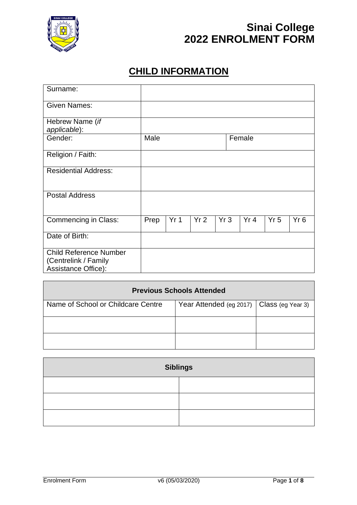

#### **CHILD INFORMATION**

| Surname:                                                                            |      |                 |     |     |        |                 |     |
|-------------------------------------------------------------------------------------|------|-----------------|-----|-----|--------|-----------------|-----|
| <b>Given Names:</b>                                                                 |      |                 |     |     |        |                 |     |
| Hebrew Name (if<br>applicable):                                                     |      |                 |     |     |        |                 |     |
| Gender:                                                                             | Male |                 |     |     | Female |                 |     |
| Religion / Faith:                                                                   |      |                 |     |     |        |                 |     |
| <b>Residential Address:</b>                                                         |      |                 |     |     |        |                 |     |
| <b>Postal Address</b>                                                               |      |                 |     |     |        |                 |     |
| <b>Commencing in Class:</b>                                                         | Prep | Yr <sub>1</sub> | Yr2 | Yr3 | Yr 4   | Yr <sub>5</sub> | Yr6 |
| Date of Birth:                                                                      |      |                 |     |     |        |                 |     |
| <b>Child Reference Number</b><br>(Centrelink / Family<br><b>Assistance Office):</b> |      |                 |     |     |        |                 |     |

| <b>Previous Schools Attended</b>   |                                             |  |  |
|------------------------------------|---------------------------------------------|--|--|
| Name of School or Childcare Centre | Year Attended (eg 2017)   Class (eg Year 3) |  |  |
|                                    |                                             |  |  |
|                                    |                                             |  |  |

| <b>Siblings</b> |  |  |
|-----------------|--|--|
|                 |  |  |
|                 |  |  |
|                 |  |  |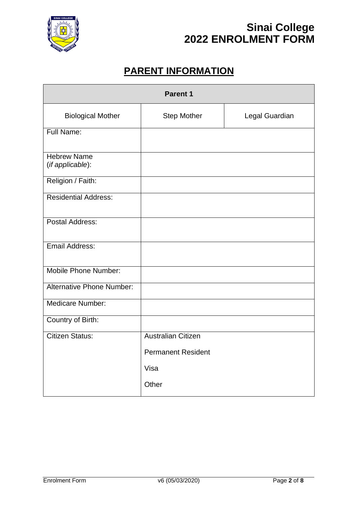

### **PARENT INFORMATION**

| <b>Parent 1</b>                        |                           |                |  |
|----------------------------------------|---------------------------|----------------|--|
| <b>Biological Mother</b>               | <b>Step Mother</b>        | Legal Guardian |  |
| Full Name:                             |                           |                |  |
| <b>Hebrew Name</b><br>(if applicable): |                           |                |  |
| Religion / Faith:                      |                           |                |  |
| <b>Residential Address:</b>            |                           |                |  |
| Postal Address:                        |                           |                |  |
| Email Address:                         |                           |                |  |
| Mobile Phone Number:                   |                           |                |  |
| <b>Alternative Phone Number:</b>       |                           |                |  |
| Medicare Number:                       |                           |                |  |
| Country of Birth:                      |                           |                |  |
| <b>Citizen Status:</b>                 | <b>Australian Citizen</b> |                |  |
|                                        | <b>Permanent Resident</b> |                |  |
|                                        | Visa                      |                |  |
|                                        | Other                     |                |  |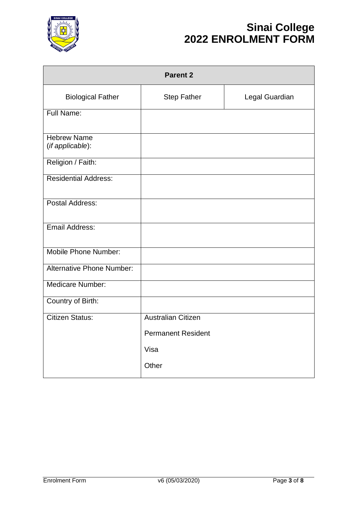

| <b>Parent 2</b>                        |                           |                |  |
|----------------------------------------|---------------------------|----------------|--|
| <b>Biological Father</b>               | <b>Step Father</b>        | Legal Guardian |  |
| <b>Full Name:</b>                      |                           |                |  |
| <b>Hebrew Name</b><br>(if applicable): |                           |                |  |
| Religion / Faith:                      |                           |                |  |
| <b>Residential Address:</b>            |                           |                |  |
| Postal Address:                        |                           |                |  |
| Email Address:                         |                           |                |  |
| Mobile Phone Number:                   |                           |                |  |
| <b>Alternative Phone Number:</b>       |                           |                |  |
| <b>Medicare Number:</b>                |                           |                |  |
| Country of Birth:                      |                           |                |  |
| <b>Citizen Status:</b>                 | <b>Australian Citizen</b> |                |  |
|                                        | <b>Permanent Resident</b> |                |  |
|                                        | Visa                      |                |  |
|                                        | Other                     |                |  |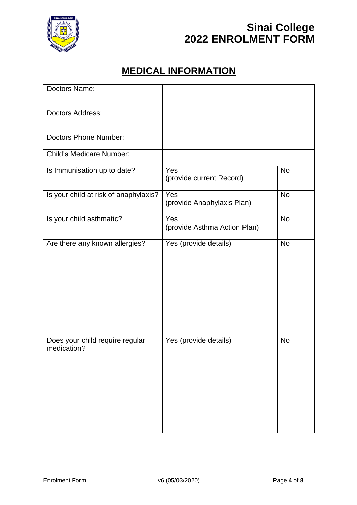

### **MEDICAL INFORMATION**

| Doctors Name:                                  |                                     |           |
|------------------------------------------------|-------------------------------------|-----------|
| Doctors Address:                               |                                     |           |
| <b>Doctors Phone Number:</b>                   |                                     |           |
| <b>Child's Medicare Number:</b>                |                                     |           |
| Is Immunisation up to date?                    | Yes<br>(provide current Record)     | <b>No</b> |
| Is your child at risk of anaphylaxis?          | Yes<br>(provide Anaphylaxis Plan)   | <b>No</b> |
| Is your child asthmatic?                       | Yes<br>(provide Asthma Action Plan) | <b>No</b> |
| Are there any known allergies?                 | Yes (provide details)               | <b>No</b> |
| Does your child require regular<br>medication? | Yes (provide details)               | <b>No</b> |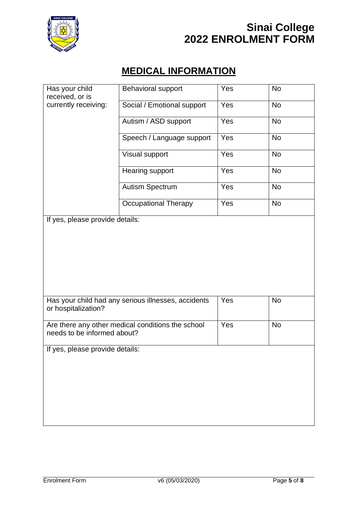

### **MEDICAL INFORMATION**

| Has your child<br>received, or is | Behavioral support                                  | Yes | <b>No</b> |
|-----------------------------------|-----------------------------------------------------|-----|-----------|
| currently receiving:              | Social / Emotional support                          | Yes | <b>No</b> |
|                                   | Autism / ASD support                                | Yes | <b>No</b> |
|                                   | Speech / Language support                           | Yes | <b>No</b> |
|                                   | Visual support                                      | Yes | <b>No</b> |
|                                   | Hearing support                                     | Yes | <b>No</b> |
|                                   | Autism Spectrum                                     | Yes | <b>No</b> |
|                                   | <b>Occupational Therapy</b>                         | Yes | <b>No</b> |
| If yes, please provide details:   |                                                     |     |           |
|                                   |                                                     |     |           |
|                                   |                                                     |     |           |
|                                   |                                                     |     |           |
|                                   |                                                     |     |           |
|                                   | Has your child had any serious illnesses, accidents | Yes | <b>No</b> |
| or hospitalization?               |                                                     |     |           |
| needs to be informed about?       | Are there any other medical conditions the school   | Yes | <b>No</b> |
| If yes, please provide details:   |                                                     |     |           |
|                                   |                                                     |     |           |
|                                   |                                                     |     |           |
|                                   |                                                     |     |           |
|                                   |                                                     |     |           |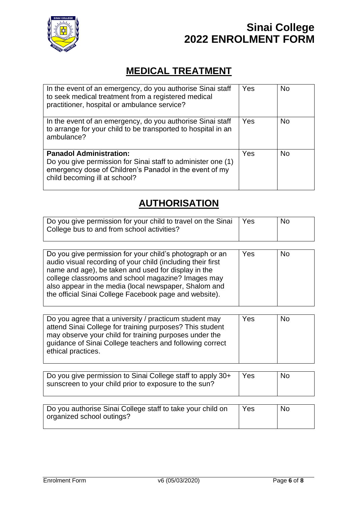

## **MEDICAL TREATMENT**

| In the event of an emergency, do you authorise Sinai staff<br>to seek medical treatment from a registered medical<br>practitioner, hospital or ambulance service?                          | Yes | <b>No</b> |
|--------------------------------------------------------------------------------------------------------------------------------------------------------------------------------------------|-----|-----------|
| In the event of an emergency, do you authorise Sinai staff<br>to arrange for your child to be transported to hospital in an<br>ambulance?                                                  | Yes | <b>No</b> |
| <b>Panadol Administration:</b><br>Do you give permission for Sinai staff to administer one (1)<br>emergency dose of Children's Panadol in the event of my<br>child becoming ill at school? | Yes | <b>No</b> |

#### **AUTHORISATION**

| Do you give permission for your child to travel on the Sinai<br>College bus to and from school activities? | <b>Yes</b> | <b>No</b> |
|------------------------------------------------------------------------------------------------------------|------------|-----------|
|                                                                                                            |            |           |

| Do you give permission for your child's photograph or an<br>audio visual recording of your child (including their first<br>name and age), be taken and used for display in the<br>college classrooms and school magazine? Images may<br>also appear in the media (local newspaper, Shalom and<br>the official Sinai College Facebook page and website). | Yes | <b>No</b> |
|---------------------------------------------------------------------------------------------------------------------------------------------------------------------------------------------------------------------------------------------------------------------------------------------------------------------------------------------------------|-----|-----------|
|                                                                                                                                                                                                                                                                                                                                                         |     |           |

| Do you agree that a university / practicum student may<br>attend Sinai College for training purposes? This student<br>may observe your child for training purposes under the<br>guidance of Sinai College teachers and following correct | Yes | <b>No</b> |
|------------------------------------------------------------------------------------------------------------------------------------------------------------------------------------------------------------------------------------------|-----|-----------|
| ethical practices.                                                                                                                                                                                                                       |     |           |

| Do you give permission to Sinai College staff to apply 30+<br>sunscreen to your child prior to exposure to the sun? | <b>Yes</b> | <b>No</b> |
|---------------------------------------------------------------------------------------------------------------------|------------|-----------|
|                                                                                                                     |            |           |

| Do you authorise Sinai College staff to take your child on | Yes | No |
|------------------------------------------------------------|-----|----|
| organized school outings?                                  |     |    |
|                                                            |     |    |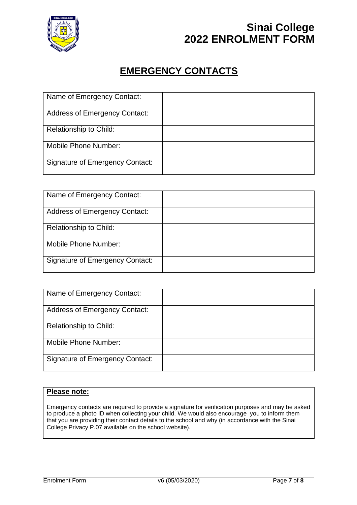

#### **EMERGENCY CONTACTS**

| Name of Emergency Contact:             |  |
|----------------------------------------|--|
| <b>Address of Emergency Contact:</b>   |  |
| <b>Relationship to Child:</b>          |  |
| <b>Mobile Phone Number:</b>            |  |
| <b>Signature of Emergency Contact:</b> |  |

| Name of Emergency Contact:             |  |
|----------------------------------------|--|
| <b>Address of Emergency Contact:</b>   |  |
| <b>Relationship to Child:</b>          |  |
| Mobile Phone Number:                   |  |
| <b>Signature of Emergency Contact:</b> |  |

| Name of Emergency Contact:             |  |
|----------------------------------------|--|
| <b>Address of Emergency Contact:</b>   |  |
| <b>Relationship to Child:</b>          |  |
| Mobile Phone Number:                   |  |
| <b>Signature of Emergency Contact:</b> |  |

#### **Please note:**

Emergency contacts are required to provide a signature for verification purposes and may be asked to produce a photo ID when collecting your child. We would also encourage you to inform them that you are providing their contact details to the school and why (in accordance with the Sinai College Privacy P.07 available on the school website).